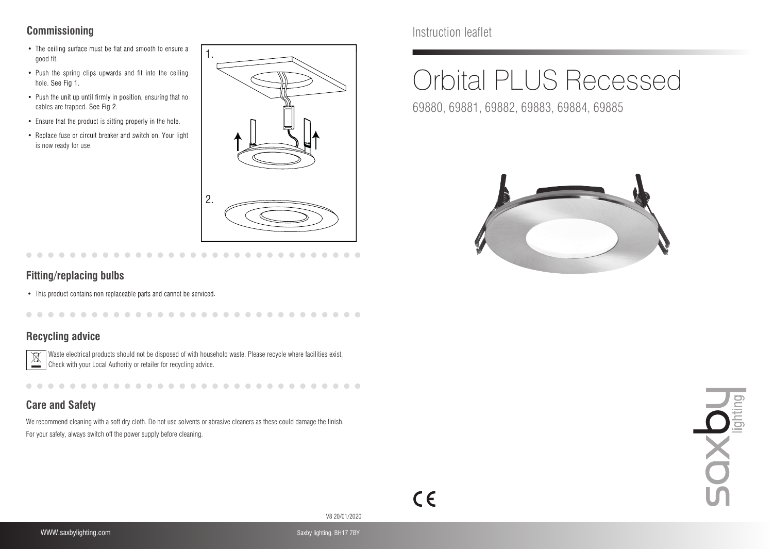# **Commissioning**

- The ceiling surface must be flat and smooth to ensure a good fit.
- Push the spring clips upwards and fit into the ceiling hole. See Fig 1.
- Push the unit up until firmly in position, ensuring that no cables are trapped. See Fig 2.
- Ensure that the product is sitting properly in the hole.
- Replace fuse or circuit breaker and switch on. Your light is now ready for use.



### **Fitting/replacing bulbs**

• This product contains non replaceable parts and cannot be serviced.

## **Recycling advice**



Waste electrical products should not be disposed of with household waste. Please recycle where facilities exist. Check with your Local Authority or retailer for recycling advice.

. . . . . . . . . . . . . . . . . .

# **Care and Safety**

We recommend cleaning with a soft dry cloth. Do not use solvents or abrasive cleaners as these could damage the finish. For your safety, always switch off the power supply before cleaning.

Instruction leaflet

# Orbital PLUS Recessed

69880, 69881, 69882, 69883, 69884, 69885







V8 20/01/2020

 $\blacksquare$